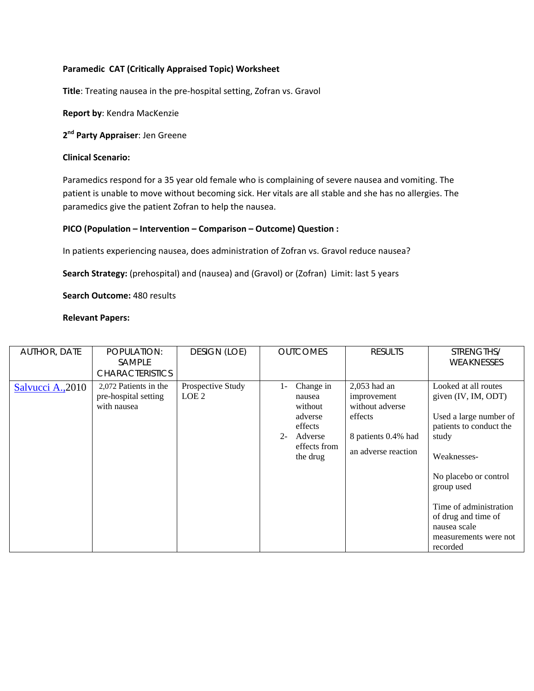## **Paramedic CAT (Critically Appraised Topic) Worksheet**

**Title**: Treating nausea in the pre‐hospital setting, Zofran vs. Gravol

**Report by**: Kendra MacKenzie

**2nd Party Appraiser**: Jen Greene

## **Clinical Scenario:**

Paramedics respond for a 35 year old female who is complaining of severe nausea and vomiting. The patient is unable to move without becoming sick. Her vitals are all stable and she has no allergies. The paramedics give the patient Zofran to help the nausea.

### **PICO (Population – Intervention – Comparison – Outcome) Question :**

In patients experiencing nausea, does administration of Zofran vs. Gravol reduce nausea?

**Search Strategy:** (prehospital) and (nausea) and (Gravol) or (Zofran) Limit: last 5 years

**Search Outcome:** 480 results

#### **Relevant Papers:**

| <b>AUTHOR, DATE</b> | POPULATION:<br><b>SAMPLE</b><br><b>CHARACTERISTICS</b>       | <b>DESIGN (LOE)</b>                   | <b>OUTCOMES</b>                                                                                                      | <b>RESULTS</b>                                                                                            | STRENGTHS/<br><b>WEAKNESSES</b>                                                                                                                                                                                                                                       |
|---------------------|--------------------------------------------------------------|---------------------------------------|----------------------------------------------------------------------------------------------------------------------|-----------------------------------------------------------------------------------------------------------|-----------------------------------------------------------------------------------------------------------------------------------------------------------------------------------------------------------------------------------------------------------------------|
| Salvucci A., 2010   | 2,072 Patients in the<br>pre-hospital setting<br>with nausea | Prospective Study<br>LOE <sub>2</sub> | Change in<br>$\mathbf{I}$<br>nausea<br>without<br>adverse<br>effects<br>Adverse<br>$2 -$<br>effects from<br>the drug | $2,053$ had an<br>improvement<br>without adverse<br>effects<br>8 patients 0.4% had<br>an adverse reaction | Looked at all routes<br>given (IV, IM, ODT)<br>Used a large number of<br>patients to conduct the<br>study<br>Weaknesses-<br>No placebo or control<br>group used<br>Time of administration<br>of drug and time of<br>nausea scale<br>measurements were not<br>recorded |